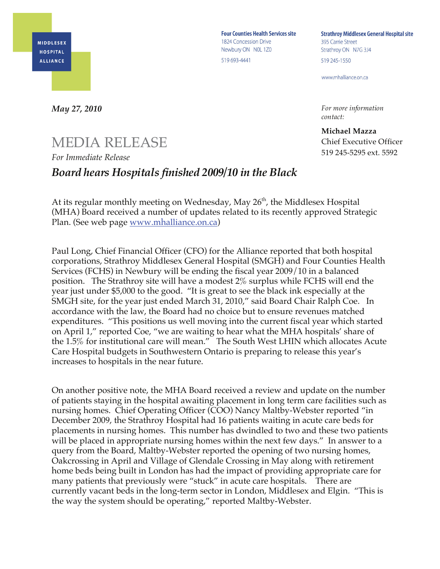

**Four Counties Health Services site** 1824 Concession Drive Newbury ON NOL 1Z0 519 693-4441

**Strathroy Middlesex General Hospital site** 395 Carrie Street Strathroy ON N7G 3J4 519 245-1550

www.mhalliance.on.ca

*For more information contact:*

**Michael Mazza** Chief Executive Officer 519 245-5295 ext. 5592

*May 27, 2010*

## MEDIA RELEASE *For Immediate Release*

## *Board hears Hospitals finished 2009/10 in the Black*

At its regular monthly meeting on Wednesday, May  $26<sup>th</sup>$ , the Middlesex Hospital (MHA) Board received a number of updates related to its recently approved Strategic Plan. (See web page www.mhalliance.on.ca)

Paul Long, Chief Financial Officer (CFO) for the Alliance reported that both hospital corporations, Strathroy Middlesex General Hospital (SMGH) and Four Counties Health Services (FCHS) in Newbury will be ending the fiscal year 2009/10 in a balanced position. The Strathroy site will have a modest 2% surplus while FCHS will end the year just under \$5,000 to the good. "It is great to see the black ink especially at the SMGH site, for the year just ended March 31, 2010," said Board Chair Ralph Coe. In accordance with the law, the Board had no choice but to ensure revenues matched expenditures. "This positions us well moving into the current fiscal year which started on April 1," reported Coe, "we are waiting to hear what the MHA hospitals' share of the 1.5% for institutional care will mean." The South West LHIN which allocates Acute Care Hospital budgets in Southwestern Ontario is preparing to release this year's increases to hospitals in the near future.

On another positive note, the MHA Board received a review and update on the number of patients staying in the hospital awaiting placement in long term care facilities such as nursing homes. Chief Operating Officer (COO) Nancy Maltby-Webster reported "in December 2009, the Strathroy Hospital had 16 patients waiting in acute care beds for placements in nursing homes. This number has dwindled to two and these two patients will be placed in appropriate nursing homes within the next few days." In answer to a query from the Board, Maltby-Webster reported the opening of two nursing homes, Oakcrossing in April and Village of Glendale Crossing in May along with retirement home beds being built in London has had the impact of providing appropriate care for many patients that previously were "stuck" in acute care hospitals. There are currently vacant beds in the long-term sector in London, Middlesex and Elgin. "This is the way the system should be operating," reported Maltby-Webster.